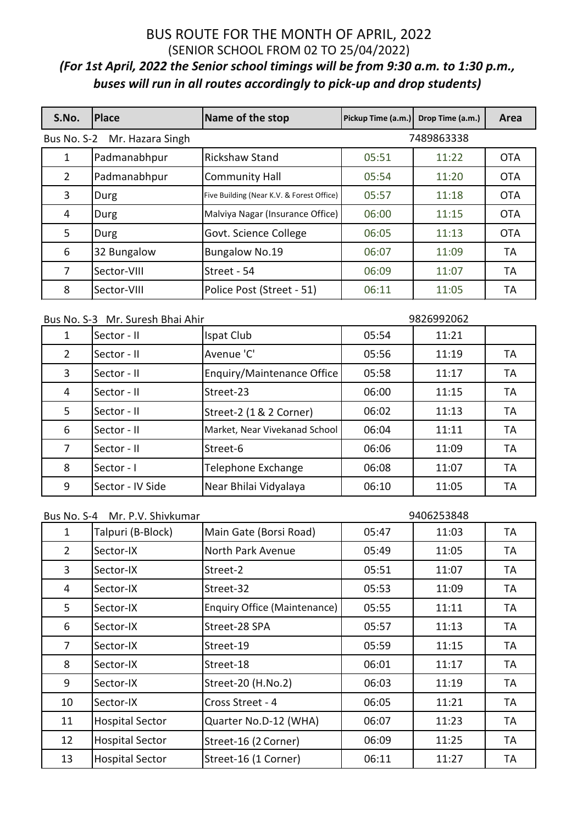| S.No.          | <b>Place</b>                 | Name of the stop                          | Pickup Time (a.m.) | Drop Time (a.m.) | Area       |
|----------------|------------------------------|-------------------------------------------|--------------------|------------------|------------|
|                | Bus No. S-2 Mr. Hazara Singh |                                           |                    | 7489863338       |            |
|                | Padmanabhpur                 | Rickshaw Stand                            | 05:51              | 11:22            | <b>OTA</b> |
| $\overline{2}$ | Padmanabhpur                 | <b>Community Hall</b>                     | 05:54              | 11:20            | <b>OTA</b> |
| 3              | Durg                         | Five Building (Near K.V. & Forest Office) | 05:57              | 11:18            | <b>OTA</b> |
| 4              | Durg                         | Malviya Nagar (Insurance Office)          | 06:00              | 11:15            | <b>OTA</b> |
| 5.             | Durg                         | Govt. Science College                     | 06:05              | 11:13            | <b>OTA</b> |
| 6              | 32 Bungalow                  | <b>Bungalow No.19</b>                     | 06:07              | 11:09            | TА         |
| 7              | Sector-VIII                  | Street - 54                               | 06:09              | 11:07            | TA         |
| 8              | Sector-VIII                  | Police Post (Street - 51)                 | 06:11              | 11:05            | TА         |
|                |                              |                                           |                    |                  |            |

| Bus No. S-3 Mr. Suresh Bhai Ahir |                  |                                   | 9826992062 |       |    |
|----------------------------------|------------------|-----------------------------------|------------|-------|----|
| 1                                | Sector - II      | Ispat Club                        | 05:54      | 11:21 |    |
| $\mathbf{2}^{\prime}$            | Sector - II      | Avenue 'C'                        | 05:56      | 11:19 | TA |
| 3                                | Sector - II      | <b>Enquiry/Maintenance Office</b> | 05:58      | 11:17 | TA |
| 4                                | Sector - II      | Street-23                         | 06:00      | 11:15 | TA |
| 5                                | Sector - II      | Street-2 (1 & 2 Corner)           | 06:02      | 11:13 | TA |
| 6                                | Sector - II      | Market, Near Vivekanad School     | 06:04      | 11:11 | TA |
| 7                                | Sector - II      | Street-6                          | 06:06      | 11:09 | TA |
| 8                                | Sector - I       | Telephone Exchange                | 06:08      | 11:07 | TA |
| 9                                | Sector - IV Side | Near Bhilai Vidyalaya             | 06:10      | 11:05 | TA |

| Bus No. S-4 Mr. P.V. Shivkumar |                        |                              | 9406253848 |       |    |
|--------------------------------|------------------------|------------------------------|------------|-------|----|
|                                | Talpuri (B-Block)      | Main Gate (Borsi Road)       | 05:47      | 11:03 | TA |
| $\overline{2}$                 | Sector-IX              | North Park Avenue            | 05:49      | 11:05 | TA |
| $\overline{3}$                 | Sector-IX              | Street-2                     | 05:51      | 11:07 | TA |
| 4                              | Sector-IX              | Street-32                    | 05:53      | 11:09 | TA |
| 5                              | Sector-IX              | Enquiry Office (Maintenance) | 05:55      | 11:11 | TA |
| 6                              | Sector-IX              | Street-28 SPA                | 05:57      | 11:13 | TA |
| $\overline{7}$                 | Sector-IX              | Street-19                    | 05:59      | 11:15 | TA |
| 8                              | Sector-IX              | Street-18                    | 06:01      | 11:17 | TA |
| 9                              | Sector-IX              | Street-20 (H.No.2)           | 06:03      | 11:19 | TA |
| 10                             | Sector-IX              | Cross Street - 4             | 06:05      | 11:21 | TA |
| 11                             | <b>Hospital Sector</b> | Quarter No.D-12 (WHA)        | 06:07      | 11:23 | TA |
| 12                             | <b>Hospital Sector</b> | Street-16 (2 Corner)         | 06:09      | 11:25 | TA |
| 13                             | <b>Hospital Sector</b> | Street-16 (1 Corner)         | 06:11      | 11:27 | TA |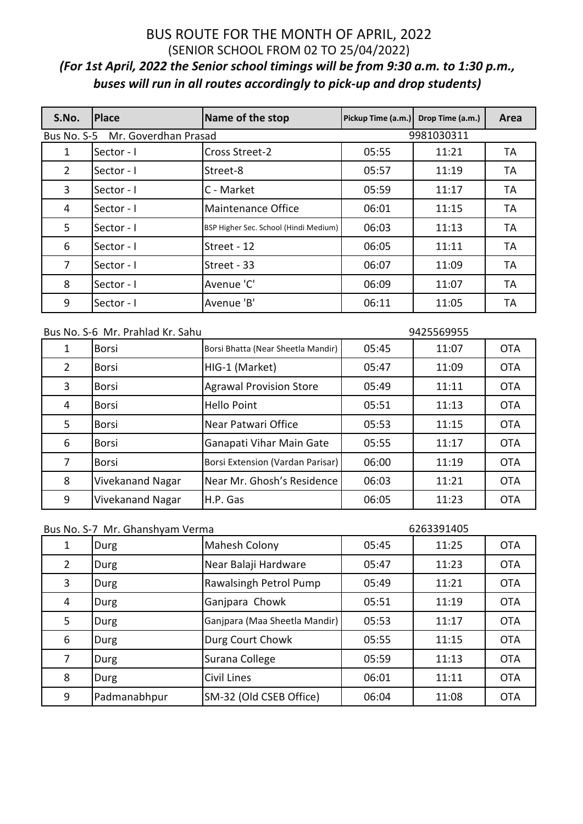| S.No.       | <b>Place</b>         | Name of the stop                      | Pickup Time (a.m.) | Drop Time (a.m.) | Area      |
|-------------|----------------------|---------------------------------------|--------------------|------------------|-----------|
| Bus No. S-5 | Mr. Goverdhan Prasad |                                       |                    | 9981030311       |           |
| 1           | Sector - I           | <b>Cross Street-2</b>                 | 05:55              | 11:21            | ТA        |
| 2           | Sector - I           | Street-8                              | 05:57              | 11:19            | TA        |
| 3           | Sector - I           | C - Market                            | 05:59              | 11:17            | TA        |
| 4           | Sector - I           | Maintenance Office                    | 06:01              | 11:15            | <b>TA</b> |
| 5           | Sector - I           | BSP Higher Sec. School (Hindi Medium) | 06:03              | 11:13            | TA        |
| 6           | Sector - I           | Street - 12                           | 06:05              | 11:11            | TA        |
| 7           | Sector - I           | Street - 33                           | 06:07              | 11:09            | TA        |
| 8           | Sector - I           | Avenue 'C'                            | 06:09              | 11:07            | TA        |
| 9           | Sector - I           | Avenue 'B'                            | 06:11              | 11:05            | TA        |

| Bus No. S-6 Mr. Prahlad Kr. Sahu |                  |                                    | 9425569955 |       |            |
|----------------------------------|------------------|------------------------------------|------------|-------|------------|
| 1                                | <b>Borsi</b>     | Borsi Bhatta (Near Sheetla Mandir) | 05:45      | 11:07 | <b>OTA</b> |
| $\overline{2}$                   | <b>Borsi</b>     | HIG-1 (Market)                     | 05:47      | 11:09 | <b>OTA</b> |
| 3                                | <b>Borsi</b>     | <b>Agrawal Provision Store</b>     | 05:49      | 11:11 | <b>OTA</b> |
| 4                                | <b>Borsi</b>     | <b>Hello Point</b>                 | 05:51      | 11:13 | <b>OTA</b> |
| 5                                | <b>Borsi</b>     | Near Patwari Office                | 05:53      | 11:15 | <b>OTA</b> |
| 6                                | <b>Borsi</b>     | Ganapati Vihar Main Gate           | 05:55      | 11:17 | <b>OTA</b> |
| 7                                | <b>Borsi</b>     | Borsi Extension (Vardan Parisar)   | 06:00      | 11:19 | <b>OTA</b> |
| 8                                | Vivekanand Nagar | Near Mr. Ghosh's Residence         | 06:03      | 11:21 | <b>OTA</b> |
| 9                                | Vivekanand Nagar | H.P. Gas                           | 06:05      | 11:23 | <b>OTA</b> |

| Bus No. S-7 Mr. Ghanshyam Verma |
|---------------------------------|
|---------------------------------|

### 

|                | Durg         | Mahesh Colony                 | 05:45 | 11:25 | <b>OTA</b> |
|----------------|--------------|-------------------------------|-------|-------|------------|
| $\overline{2}$ | Durg         | Near Balaji Hardware          | 05:47 | 11:23 | <b>OTA</b> |
| 3              | Durg         | Rawalsingh Petrol Pump        | 05:49 | 11:21 | <b>OTA</b> |
| 4              | Durg         | Ganjpara Chowk                | 05:51 | 11:19 | <b>OTA</b> |
| 5              | Durg         | Ganjpara (Maa Sheetla Mandir) | 05:53 | 11:17 | <b>OTA</b> |
| 6              | Durg         | Durg Court Chowk              | 05:55 | 11:15 | <b>OTA</b> |
|                | Durg         | Surana College                | 05:59 | 11:13 | <b>OTA</b> |
| 8              | Durg         | Civil Lines                   | 06:01 | 11:11 | <b>OTA</b> |
| 9              | Padmanabhpur | SM-32 (Old CSEB Office)       | 06:04 | 11:08 | <b>OTA</b> |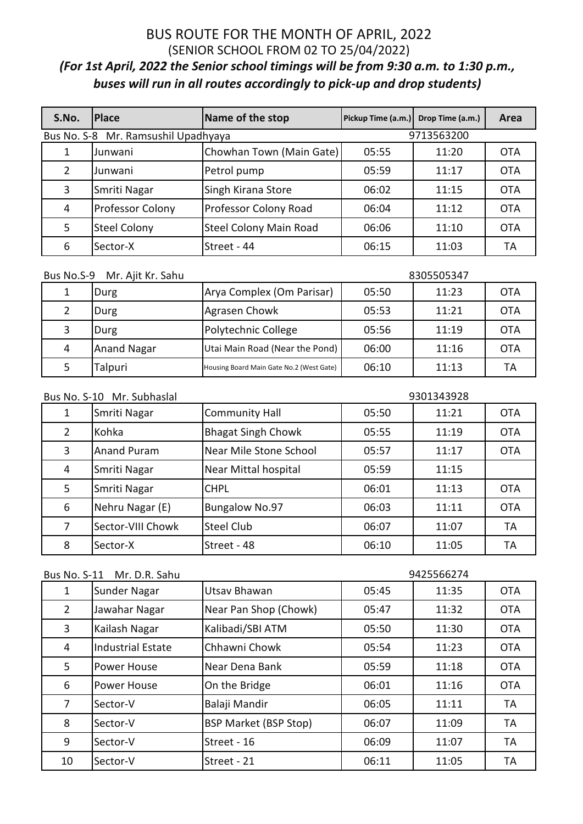| S.No. | <b>IPlace</b>                       | Name of the stop              | Pickup Time (a.m.) | Drop Time (a.m.) | Area       |
|-------|-------------------------------------|-------------------------------|--------------------|------------------|------------|
|       | Bus No. S-8 Mr. Ramsushil Upadhyaya |                               |                    | 9713563200       |            |
|       | Junwani                             | Chowhan Town (Main Gate)      | 05:55              | 11:20            | <b>OTA</b> |
| 2     | Junwani                             | Petrol pump                   | 05:59              | 11:17            | <b>OTA</b> |
| 3     | Smriti Nagar                        | Singh Kirana Store            | 06:02              | 11:15            | <b>OTA</b> |
| 4     | <b>Professor Colony</b>             | Professor Colony Road         | 06:04              | 11:12            | <b>OTA</b> |
| 5     | <b>Steel Colony</b>                 | <b>Steel Colony Main Road</b> | 06:06              | 11:10            | <b>OTA</b> |
| 6     | Sector-X                            | Street - 44                   | 06:15              | 11:03            | TА         |

| Mr. Ajit Kr. Sahu<br>Bus No.S-9 |                    |                                          |       | 8305505347 |            |
|---------------------------------|--------------------|------------------------------------------|-------|------------|------------|
| 1                               | Durg               | Arya Complex (Om Parisar)                | 05:50 | 11:23      | <b>OTA</b> |
|                                 | Durg               | Agrasen Chowk                            | 05:53 | 11:21      | <b>OTA</b> |
| 3                               | Durg               | Polytechnic College                      | 05:56 | 11:19      | <b>OTA</b> |
| 4                               | <b>Anand Nagar</b> | Utai Main Road (Near the Pond)           | 06:00 | 11:16      | <b>OTA</b> |
|                                 | Talpuri            | Housing Board Main Gate No.2 (West Gate) | 06:10 | 11:13      | TA         |

| Bus No. S-10 Mr. Subhaslal |                    |                           | 9301343928 |       |            |
|----------------------------|--------------------|---------------------------|------------|-------|------------|
| 1                          | Smriti Nagar       | <b>Community Hall</b>     | 05:50      | 11:21 | <b>OTA</b> |
| $\overline{2}$             | Kohka              | <b>Bhagat Singh Chowk</b> | 05:55      | 11:19 | <b>OTA</b> |
| 3                          | <b>Anand Puram</b> | Near Mile Stone School    | 05:57      | 11:17 | <b>OTA</b> |
| 4                          | Smriti Nagar       | Near Mittal hospital      | 05:59      | 11:15 |            |
| 5                          | Smriti Nagar       | <b>CHPL</b>               | 06:01      | 11:13 | <b>OTA</b> |
| 6                          | Nehru Nagar (E)    | <b>Bungalow No.97</b>     | 06:03      | 11:11 | <b>OTA</b> |
| 7                          | Sector-VIII Chowk  | Steel Club                | 06:07      | 11:07 | <b>TA</b>  |
| 8                          | Sector-X           | Street - 48               | 06:10      | 11:05 | <b>TA</b>  |

| Mr. D.R. Sahu<br><b>Bus No. S-11</b> |                          |                              | 9425566274 |       |            |
|--------------------------------------|--------------------------|------------------------------|------------|-------|------------|
| 1                                    | Sunder Nagar             | Utsay Bhawan                 | 05:45      | 11:35 | <b>OTA</b> |
| $\mathbf{2}^{\prime}$                | Jawahar Nagar            | Near Pan Shop (Chowk)        | 05:47      | 11:32 | <b>OTA</b> |
| 3                                    | Kailash Nagar            | Kalibadi/SBI ATM             | 05:50      | 11:30 | <b>OTA</b> |
| 4                                    | <b>Industrial Estate</b> | Chhawni Chowk                | 05:54      | 11:23 | <b>OTA</b> |
| 5                                    | Power House              | Near Dena Bank               | 05:59      | 11:18 | <b>OTA</b> |
| 6                                    | Power House              | On the Bridge                | 06:01      | 11:16 | <b>OTA</b> |
| $\overline{7}$                       | Sector-V                 | Balaji Mandir                | 06:05      | 11:11 | <b>TA</b>  |
| 8                                    | Sector-V                 | <b>BSP Market (BSP Stop)</b> | 06:07      | 11:09 | <b>TA</b>  |
| 9                                    | Sector-V                 | Street - 16                  | 06:09      | 11:07 | <b>TA</b>  |
| 10                                   | Sector-V                 | Street - 21                  | 06:11      | 11:05 | TA         |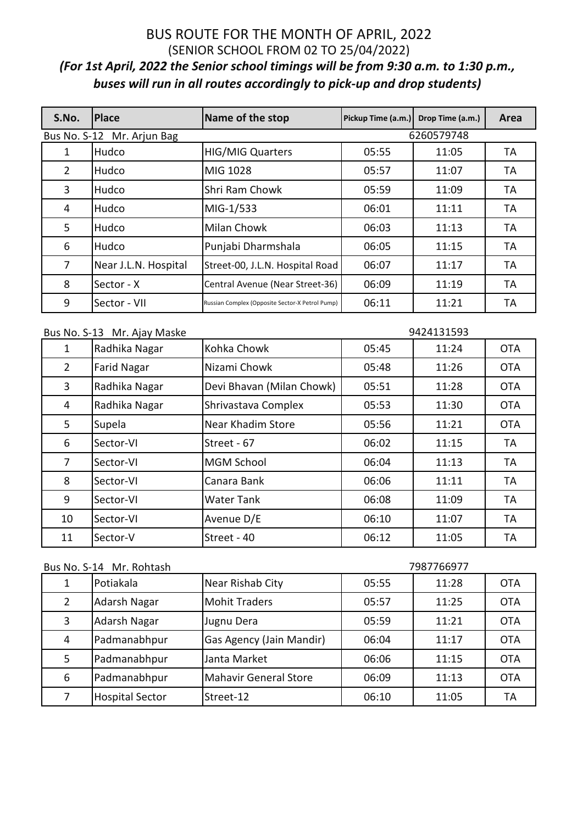| S.No. | <b>Place</b>               | Name of the stop                                | Pickup Time (a.m.) | Drop Time (a.m.) | Area |
|-------|----------------------------|-------------------------------------------------|--------------------|------------------|------|
|       | Bus No. S-12 Mr. Arjun Bag |                                                 |                    | 6260579748       |      |
| 1     | Hudco                      | <b>HIG/MIG Quarters</b>                         | 05:55              | 11:05            | ТA   |
| 2     | Hudco                      | MIG 1028                                        | 05:57              | 11:07            | TA   |
| 3     | Hudco                      | Shri Ram Chowk                                  | 05:59              | 11:09            | TA   |
| 4     | Hudco                      | MIG-1/533                                       | 06:01              | 11:11            | ТA   |
| 5     | Hudco                      | Milan Chowk                                     | 06:03              | 11:13            | TА   |
| 6     | Hudco                      | Punjabi Dharmshala                              | 06:05              | 11:15            | TA   |
| 7     | Near J.L.N. Hospital       | Street-00, J.L.N. Hospital Road                 | 06:07              | 11:17            | TA   |
| 8     | Sector - X                 | Central Avenue (Near Street-36)                 | 06:09              | 11:19            | ТA   |
| 9     | Sector - VII               | Russian Complex (Opposite Sector-X Petrol Pump) | 06:11              | 11:21            | TA   |

| 9424131593<br>Bus No. S-13 Mr. Ajay Maske |                    |                           |       |       |            |
|-------------------------------------------|--------------------|---------------------------|-------|-------|------------|
| 1                                         | Radhika Nagar      | Kohka Chowk               | 05:45 | 11:24 | <b>OTA</b> |
| $\overline{2}$                            | <b>Farid Nagar</b> | Nizami Chowk              | 05:48 | 11:26 | <b>OTA</b> |
| $\overline{3}$                            | Radhika Nagar      | Devi Bhavan (Milan Chowk) | 05:51 | 11:28 | <b>OTA</b> |
| 4                                         | Radhika Nagar      | Shrivastava Complex       | 05:53 | 11:30 | <b>OTA</b> |
| 5                                         | Supela             | Near Khadim Store         | 05:56 | 11:21 | <b>OTA</b> |
| 6                                         | Sector-VI          | Street - 67               | 06:02 | 11:15 | TA         |
| $\overline{7}$                            | Sector-VI          | <b>MGM School</b>         | 06:04 | 11:13 | <b>TA</b>  |
| 8                                         | Sector-VI          | Canara Bank               | 06:06 | 11:11 | TA         |
| 9                                         | Sector-VI          | <b>Water Tank</b>         | 06:08 | 11:09 | TA         |
| 10                                        | Sector-VI          | Avenue D/E                | 06:10 | 11:07 | TA         |
| 11                                        | Sector-V           | Street - 40               | 06:12 | 11:05 | TA         |

| Bus No. S-14 Mr. Rohtash |                        |                              |       | 7987766977 |            |
|--------------------------|------------------------|------------------------------|-------|------------|------------|
|                          | Potiakala              | Near Rishab City             | 05:55 | 11:28      | <b>OTA</b> |
| 2                        | Adarsh Nagar           | <b>Mohit Traders</b>         | 05:57 | 11:25      | <b>OTA</b> |
| 3                        | Adarsh Nagar           | Jugnu Dera                   | 05:59 | 11:21      | <b>OTA</b> |
| 4                        | Padmanabhpur           | Gas Agency (Jain Mandir)     | 06:04 | 11:17      | <b>OTA</b> |
| 5                        | Padmanabhpur           | Janta Market                 | 06:06 | 11:15      | <b>OTA</b> |
| 6                        | Padmanabhpur           | <b>Mahavir General Store</b> | 06:09 | 11:13      | <b>OTA</b> |
|                          | <b>Hospital Sector</b> | Street-12                    | 06:10 | 11:05      | TА         |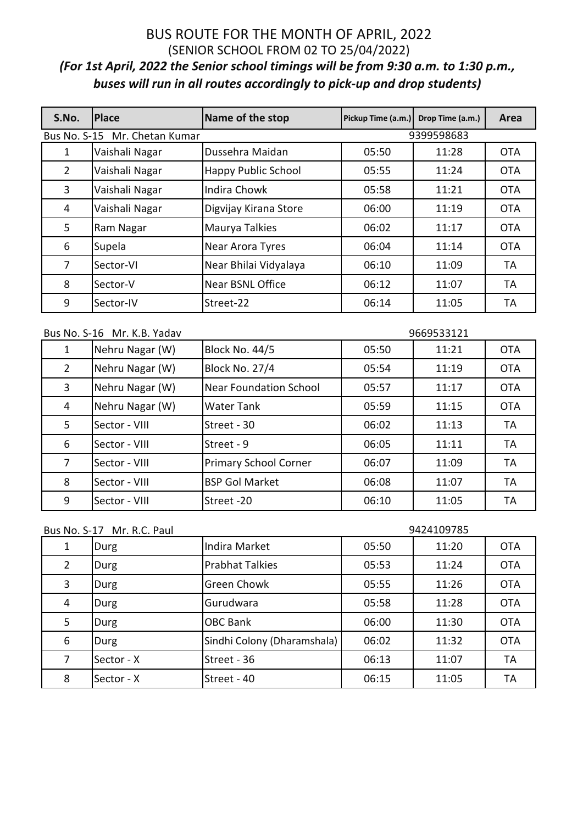| S.No.               | <b>Place</b>     | Name of the stop           | Pickup Time (a.m.) | Drop Time (a.m.) | Area       |
|---------------------|------------------|----------------------------|--------------------|------------------|------------|
| <b>Bus No. S-15</b> | Mr. Chetan Kumar |                            |                    | 9399598683       |            |
| 1                   | Vaishali Nagar   | Dussehra Maidan            | 05:50              | 11:28            | <b>OTA</b> |
| $\overline{2}$      | Vaishali Nagar   | <b>Happy Public School</b> | 05:55              | 11:24            | <b>OTA</b> |
| 3                   | Vaishali Nagar   | Indira Chowk               | 05:58              | 11:21            | <b>OTA</b> |
| 4                   | Vaishali Nagar   | Digvijay Kirana Store      | 06:00              | 11:19            | <b>OTA</b> |
| 5                   | Ram Nagar        | Maurya Talkies             | 06:02              | 11:17            | <b>OTA</b> |
| 6                   | Supela           | Near Arora Tyres           | 06:04              | 11:14            | <b>OTA</b> |
| 7                   | Sector-VI        | Near Bhilai Vidyalaya      | 06:10              | 11:09            | TA         |
| 8                   | Sector-V         | Near BSNL Office           | 06:12              | 11:07            | ТA         |
| 9                   | Sector-IV        | Street-22                  | 06:14              | 11:05            | TA         |

|  | Bus No. S-16 Mr. K.B. Yadav |  |
|--|-----------------------------|--|
|--|-----------------------------|--|

| Bus No. S-16 Mr. K.B. Yadav |                 | 9669533121                    |       |       |            |
|-----------------------------|-----------------|-------------------------------|-------|-------|------------|
| 1                           | Nehru Nagar (W) | <b>Block No. 44/5</b>         | 05:50 | 11:21 | <b>OTA</b> |
| $\overline{2}$              | Nehru Nagar (W) | <b>Block No. 27/4</b>         | 05:54 | 11:19 | <b>OTA</b> |
| 3                           | Nehru Nagar (W) | <b>Near Foundation School</b> | 05:57 | 11:17 | <b>OTA</b> |
| $\overline{4}$              | Nehru Nagar (W) | <b>Water Tank</b>             | 05:59 | 11:15 | <b>OTA</b> |
| 5                           | Sector - VIII   | Street - 30                   | 06:02 | 11:13 | TA         |
| 6                           | Sector - VIII   | Street - 9                    | 06:05 | 11:11 | TA         |
| 7                           | Sector - VIII   | <b>Primary School Corner</b>  | 06:07 | 11:09 | <b>TA</b>  |
| 8                           | Sector - VIII   | <b>BSP Gol Market</b>         | 06:08 | 11:07 | <b>TA</b>  |
| 9                           | Sector - VIII   | Street-20                     | 06:10 | 11:05 | TA         |

| Bus No. S-17 Mr. R.C. Paul |  |  |
|----------------------------|--|--|
|----------------------------|--|--|

### 

| 1              | Durg       | Indira Market               | 05:50 | 11:20 | <b>OTA</b> |
|----------------|------------|-----------------------------|-------|-------|------------|
| $\overline{2}$ | Durg       | <b>Prabhat Talkies</b>      | 05:53 | 11:24 | <b>OTA</b> |
| 3              | Durg       | <b>Green Chowk</b>          | 05:55 | 11:26 | <b>OTA</b> |
| 4              | Durg       | Gurudwara                   | 05:58 | 11:28 | <b>OTA</b> |
| 5              | Durg       | <b>OBC Bank</b>             | 06:00 | 11:30 | <b>OTA</b> |
| 6              | Durg       | Sindhi Colony (Dharamshala) | 06:02 | 11:32 | <b>OTA</b> |
| 7              | Sector - X | Street - 36                 | 06:13 | 11:07 | <b>TA</b>  |
| 8              | Sector - X | Street - 40                 | 06:15 | 11:05 | <b>TA</b>  |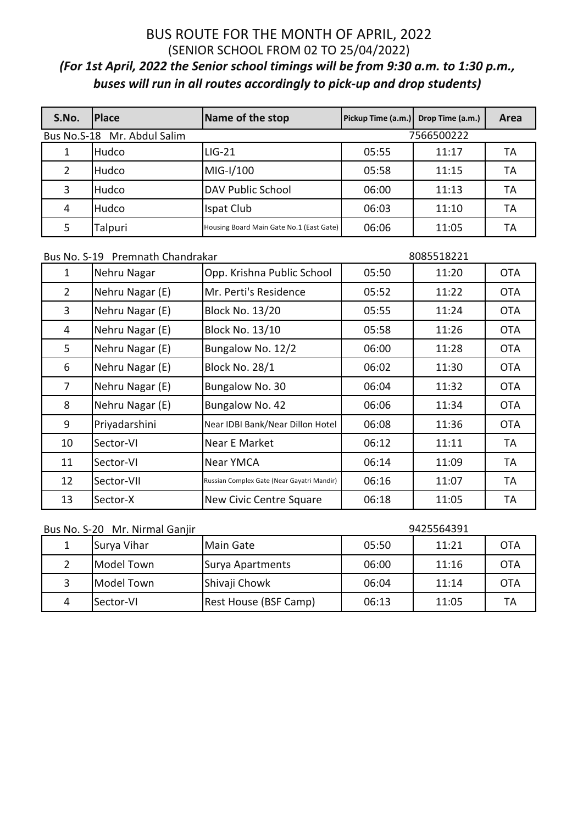| S.No.                                     | <b>IPlace</b> | Name of the stop                         | Pickup Time (a.m.) | Drop Time (a.m.) | Area |
|-------------------------------------------|---------------|------------------------------------------|--------------------|------------------|------|
| Bus No.S-18 Mr. Abdul Salim<br>7566500222 |               |                                          |                    |                  |      |
|                                           | Hudco         | $LIG-21$                                 | 05:55              | 11:17            | TA   |
| 2                                         | Hudco         | MIG-I/100                                | 05:58              | 11:15            | TA   |
| 3                                         | Hudco         | <b>DAV Public School</b>                 | 06:00              | 11:13            | TA   |
| 4                                         | Hudco         | Ispat Club                               | 06:03              | 11:10            | TA   |
| 5                                         | Talpuri       | Housing Board Main Gate No.1 (East Gate) | 06:06              | 11:05            | ТA   |

| Bus No. S-19 Premnath Chandrakar |                                            | 8085518221 |       |            |  |
|----------------------------------|--------------------------------------------|------------|-------|------------|--|
| Nehru Nagar                      | Opp. Krishna Public School                 | 05:50      | 11:20 | <b>OTA</b> |  |
| Nehru Nagar (E)                  | Mr. Perti's Residence                      | 05:52      | 11:22 | <b>OTA</b> |  |
| Nehru Nagar (E)                  | Block No. 13/20                            | 05:55      | 11:24 | <b>OTA</b> |  |
| Nehru Nagar (E)                  | <b>Block No. 13/10</b>                     | 05:58      | 11:26 | <b>OTA</b> |  |
| Nehru Nagar (E)                  | Bungalow No. 12/2                          | 06:00      | 11:28 | <b>OTA</b> |  |
| Nehru Nagar (E)                  | <b>Block No. 28/1</b>                      | 06:02      | 11:30 | <b>OTA</b> |  |
| Nehru Nagar (E)                  | Bungalow No. 30                            | 06:04      | 11:32 | <b>OTA</b> |  |
| Nehru Nagar (E)                  | Bungalow No. 42                            | 06:06      | 11:34 | <b>OTA</b> |  |
| Priyadarshini                    | Near IDBI Bank/Near Dillon Hotel           | 06:08      | 11:36 | <b>OTA</b> |  |
| Sector-VI                        | Near E Market                              | 06:12      | 11:11 | TA         |  |
| Sector-VI                        | Near YMCA                                  | 06:14      | 11:09 | TA         |  |
| Sector-VII                       | Russian Complex Gate (Near Gayatri Mandir) | 06:16      | 11:07 | TA         |  |
| Sector-X                         | New Civic Centre Square                    | 06:18      | 11:05 | TA         |  |
|                                  |                                            |            |       |            |  |

| Bus No. S-20 Mr. Nirmal Ganjir |  |  |
|--------------------------------|--|--|
|--------------------------------|--|--|

#### 

|   | Surya Vihar         | Main Gate                    | 05:50 | 11:21 | <b>OTA</b> |
|---|---------------------|------------------------------|-------|-------|------------|
|   | <b>I</b> Model Town | Surya Apartments             | 06:00 | 11:16 | <b>OTA</b> |
|   | <b>I</b> Model Town | Shivaji Chowk                | 06:04 | 11:14 | <b>OTA</b> |
| 4 | Sector-VI           | <b>Rest House (BSF Camp)</b> | 06:13 | 11:05 | TА         |